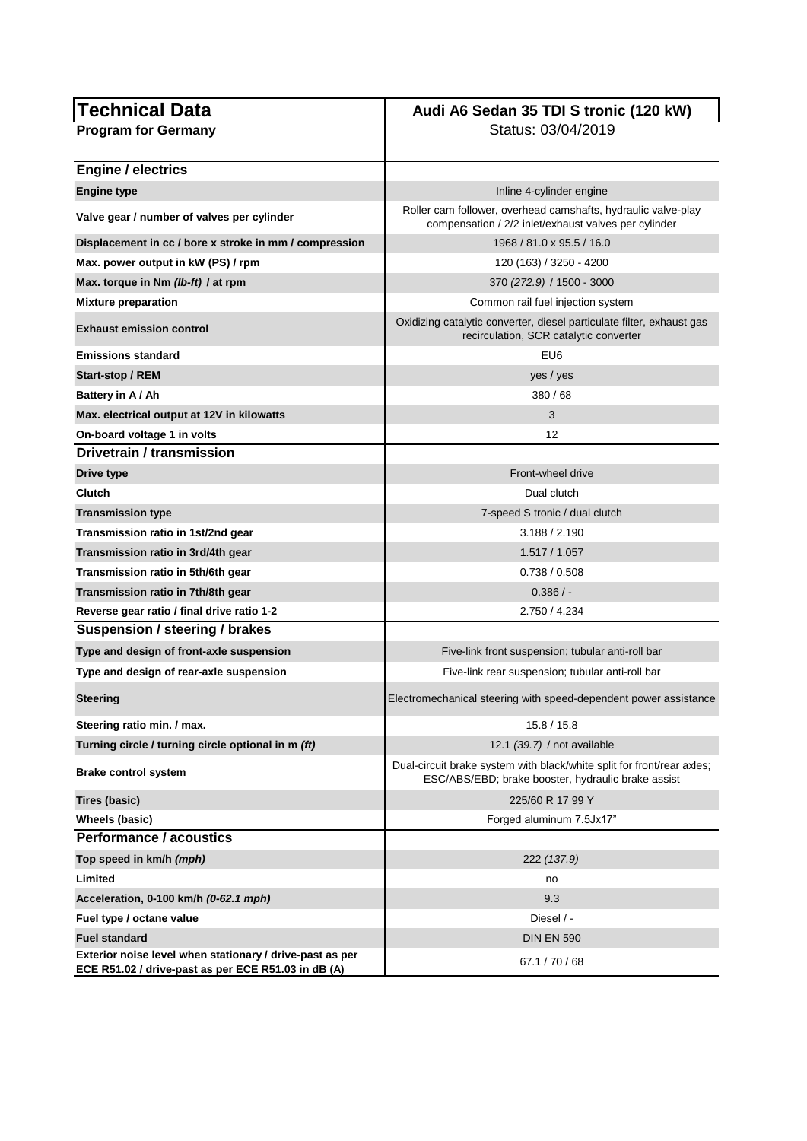| <b>Technical Data</b>                                                                                           | Audi A6 Sedan 35 TDI S tronic (120 kW)                                                                                       |
|-----------------------------------------------------------------------------------------------------------------|------------------------------------------------------------------------------------------------------------------------------|
| <b>Program for Germany</b>                                                                                      | Status: 03/04/2019                                                                                                           |
| <b>Engine / electrics</b>                                                                                       |                                                                                                                              |
| <b>Engine type</b>                                                                                              | Inline 4-cylinder engine                                                                                                     |
| Valve gear / number of valves per cylinder                                                                      | Roller cam follower, overhead camshafts, hydraulic valve-play<br>compensation / 2/2 inlet/exhaust valves per cylinder        |
| Displacement in cc / bore x stroke in mm / compression                                                          | 1968 / 81.0 x 95.5 / 16.0                                                                                                    |
| Max. power output in kW (PS) / rpm                                                                              | 120 (163) / 3250 - 4200                                                                                                      |
| Max. torque in Nm (Ib-ft) / at rpm                                                                              | 370 (272.9) / 1500 - 3000                                                                                                    |
| <b>Mixture preparation</b>                                                                                      | Common rail fuel injection system                                                                                            |
| <b>Exhaust emission control</b>                                                                                 | Oxidizing catalytic converter, diesel particulate filter, exhaust gas<br>recirculation, SCR catalytic converter              |
| <b>Emissions standard</b>                                                                                       | EU6                                                                                                                          |
| Start-stop / REM                                                                                                | yes / yes                                                                                                                    |
| Battery in A/Ah                                                                                                 | 380/68                                                                                                                       |
| Max. electrical output at 12V in kilowatts                                                                      | 3                                                                                                                            |
| On-board voltage 1 in volts                                                                                     | 12                                                                                                                           |
| Drivetrain / transmission                                                                                       |                                                                                                                              |
| Drive type                                                                                                      | Front-wheel drive                                                                                                            |
| <b>Clutch</b>                                                                                                   | Dual clutch                                                                                                                  |
| <b>Transmission type</b>                                                                                        | 7-speed S tronic / dual clutch                                                                                               |
| Transmission ratio in 1st/2nd gear                                                                              | 3.188 / 2.190                                                                                                                |
| Transmission ratio in 3rd/4th gear                                                                              | 1.517 / 1.057                                                                                                                |
| Transmission ratio in 5th/6th gear                                                                              | 0.738 / 0.508                                                                                                                |
| Transmission ratio in 7th/8th gear                                                                              | $0.386/$ –                                                                                                                   |
| Reverse gear ratio / final drive ratio 1-2                                                                      | 2.750 / 4.234                                                                                                                |
| Suspension / steering / brakes                                                                                  |                                                                                                                              |
| Type and design of front-axle suspension                                                                        | Five-link front suspension; tubular anti-roll bar                                                                            |
| Type and design of rear-axle suspension                                                                         | Five-link rear suspension; tubular anti-roll bar                                                                             |
| <b>Steering</b>                                                                                                 | Electromechanical steering with speed-dependent power assistance                                                             |
| Steering ratio min. / max.                                                                                      | 15.8 / 15.8                                                                                                                  |
| Turning circle / turning circle optional in m (ft)                                                              | 12.1 (39.7) / not available                                                                                                  |
| <b>Brake control system</b>                                                                                     | Dual-circuit brake system with black/white split for front/rear axles;<br>ESC/ABS/EBD; brake booster, hydraulic brake assist |
| Tires (basic)                                                                                                   | 225/60 R 17 99 Y                                                                                                             |
| Wheels (basic)                                                                                                  | Forged aluminum 7.5Jx17"                                                                                                     |
| Performance / acoustics                                                                                         |                                                                                                                              |
| Top speed in km/h (mph)                                                                                         | 222 (137.9)                                                                                                                  |
| Limited                                                                                                         | no                                                                                                                           |
| Acceleration, 0-100 km/h (0-62.1 mph)                                                                           | 9.3                                                                                                                          |
| Fuel type / octane value                                                                                        | Diesel / -                                                                                                                   |
| <b>Fuel standard</b>                                                                                            | <b>DIN EN 590</b>                                                                                                            |
| Exterior noise level when stationary / drive-past as per<br>ECE R51.02 / drive-past as per ECE R51.03 in dB (A) | 67.1/70/68                                                                                                                   |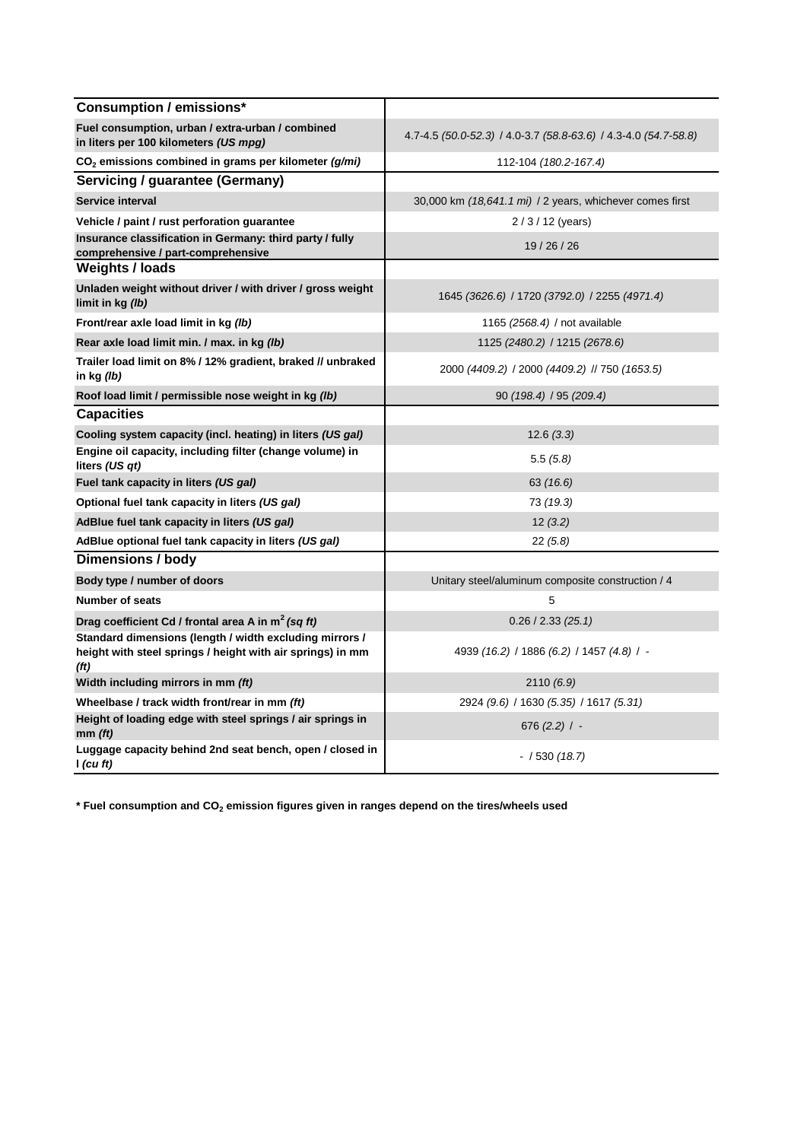| <b>Consumption / emissions*</b>                                                                                               |                                                                 |
|-------------------------------------------------------------------------------------------------------------------------------|-----------------------------------------------------------------|
| Fuel consumption, urban / extra-urban / combined<br>in liters per 100 kilometers (US mpg)                                     | 4.7-4.5 (50.0-52.3) / 4.0-3.7 (58.8-63.6) / 4.3-4.0 (54.7-58.8) |
| CO <sub>2</sub> emissions combined in grams per kilometer (g/mi)                                                              | 112-104 (180.2-167.4)                                           |
| <b>Servicing / guarantee (Germany)</b>                                                                                        |                                                                 |
| Service interval                                                                                                              | 30,000 km (18,641.1 mi) / 2 years, whichever comes first        |
| Vehicle / paint / rust perforation guarantee                                                                                  | 2/3/12 (years)                                                  |
| Insurance classification in Germany: third party / fully<br>comprehensive / part-comprehensive                                | 19/26/26                                                        |
| <b>Weights / loads</b>                                                                                                        |                                                                 |
| Unladen weight without driver / with driver / gross weight<br>limit in $kg(lb)$                                               | 1645 (3626.6) / 1720 (3792.0) / 2255 (4971.4)                   |
| Front/rear axle load limit in kg (lb)                                                                                         | 1165 (2568.4) / not available                                   |
| Rear axle load limit min. / max. in kg (lb)                                                                                   | 1125 (2480.2) / 1215 (2678.6)                                   |
| Trailer load limit on 8% / 12% gradient, braked // unbraked<br>in $kg(h)$                                                     | 2000 (4409.2) / 2000 (4409.2) // 750 (1653.5)                   |
| Roof load limit / permissible nose weight in kg (Ib)                                                                          | 90 (198.4) / 95 (209.4)                                         |
| <b>Capacities</b>                                                                                                             |                                                                 |
| Cooling system capacity (incl. heating) in liters (US gal)                                                                    | 12.6(3.3)                                                       |
| Engine oil capacity, including filter (change volume) in<br>liters <i>(US qt)</i>                                             | 5.5(5.8)                                                        |
| Fuel tank capacity in liters (US gal)                                                                                         | 63 (16.6)                                                       |
| Optional fuel tank capacity in liters (US gal)                                                                                | 73 (19.3)                                                       |
| AdBlue fuel tank capacity in liters (US gal)                                                                                  | 12(3.2)                                                         |
| AdBlue optional fuel tank capacity in liters (US gal)                                                                         | 22(5.8)                                                         |
| <b>Dimensions / body</b>                                                                                                      |                                                                 |
| Body type / number of doors                                                                                                   | Unitary steel/aluminum composite construction / 4               |
| <b>Number of seats</b>                                                                                                        | 5                                                               |
| Drag coefficient Cd / frontal area A in m <sup>2</sup> (sq ft)                                                                | 0.26 / 2.33 (25.1)                                              |
| Standard dimensions (length / width excluding mirrors /<br>height with steel springs / height with air springs) in mm<br>(ft) | 4939 (16.2) / 1886 (6.2) / 1457 (4.8) / -                       |
| Width including mirrors in mm (ft)                                                                                            | 2110 (6.9)                                                      |
| Wheelbase / track width front/rear in mm (ft)                                                                                 | 2924 (9.6) / 1630 (5.35) / 1617 (5.31)                          |
| Height of loading edge with steel springs / air springs in<br>$mm$ (ft)                                                       | 676 $(2.2)$ / -                                                 |
| Luggage capacity behind 2nd seat bench, open / closed in<br>$\int$ (cu ft)                                                    | $-$ / 530 (18.7)                                                |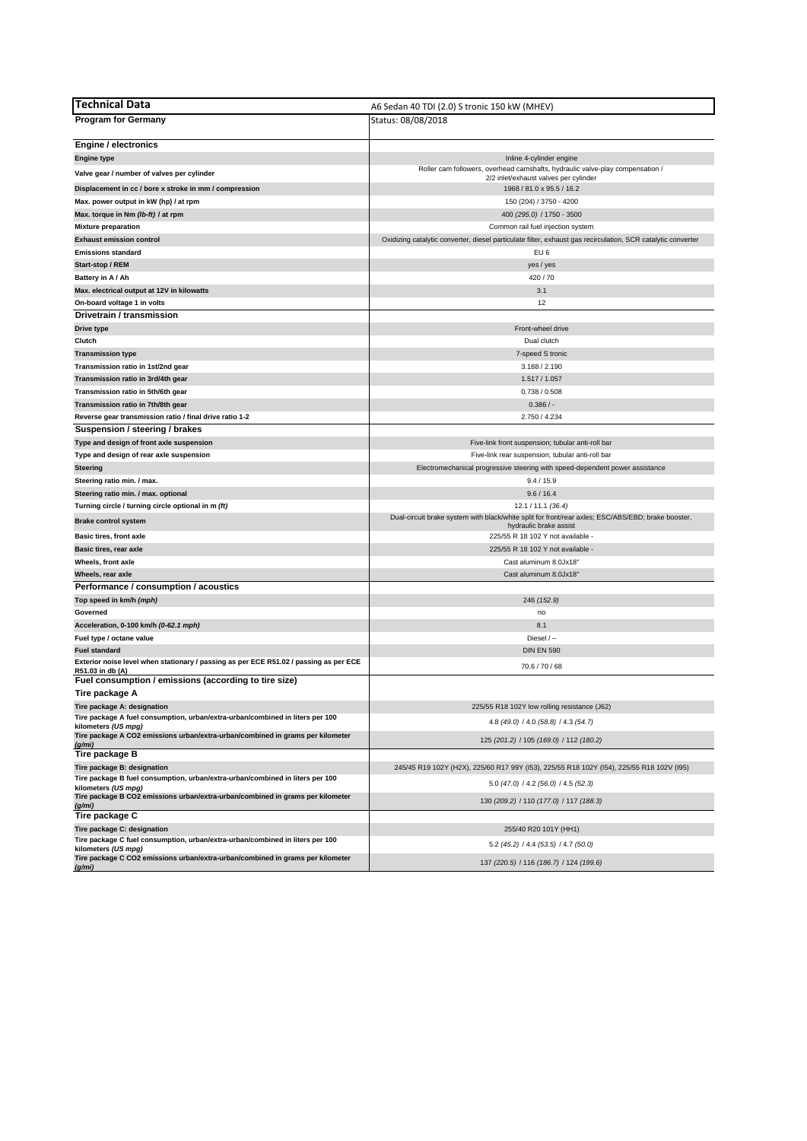| Technical Data                                                                                                | A6 Sedan 40 TDI (2.0) S tronic 150 kW (MHEV)                                                                           |
|---------------------------------------------------------------------------------------------------------------|------------------------------------------------------------------------------------------------------------------------|
| <b>Program for Germany</b>                                                                                    | Status: 08/08/2018                                                                                                     |
|                                                                                                               |                                                                                                                        |
| Engine / electronics                                                                                          |                                                                                                                        |
| <b>Engine type</b>                                                                                            | Inline 4-cylinder engine                                                                                               |
| Valve gear / number of valves per cylinder                                                                    | Roller cam followers, overhead camshafts, hydraulic valve-play compensation /<br>2/2 inlet/exhaust valves per cylinder |
| Displacement in cc / bore x stroke in mm / compression                                                        | 1968 / 81.0 x 95.5 / 16.2                                                                                              |
| Max. power output in kW (hp) / at rpm                                                                         | 150 (204) / 3750 - 4200                                                                                                |
| Max. torque in Nm (Ib-ft) / at rpm                                                                            | 400 (295.0) / 1750 - 3500                                                                                              |
| <b>Mixture preparation</b>                                                                                    | Common rail fuel injection system                                                                                      |
| <b>Exhaust emission control</b>                                                                               | Oxidizing catalytic converter, diesel particulate filter, exhaust gas recirculation, SCR catalytic converter           |
| <b>Emissions standard</b>                                                                                     | EU <sub>6</sub>                                                                                                        |
| Start-stop / REM                                                                                              | yes / yes                                                                                                              |
| Battery in A / Ah                                                                                             | 420/70                                                                                                                 |
| Max. electrical output at 12V in kilowatts                                                                    | 3.1                                                                                                                    |
| On-board voltage 1 in volts                                                                                   | 12                                                                                                                     |
| Drivetrain / transmission                                                                                     |                                                                                                                        |
| Drive type                                                                                                    | Front-wheel drive                                                                                                      |
| Clutch                                                                                                        | Dual clutch                                                                                                            |
| <b>Transmission type</b>                                                                                      | 7-speed S tronic                                                                                                       |
| Transmission ratio in 1st/2nd gear                                                                            | 3.188 / 2.190                                                                                                          |
| Transmission ratio in 3rd/4th gear                                                                            | 1.517 / 1.057                                                                                                          |
| Transmission ratio in 5th/6th gear                                                                            | 0.738 / 0.508                                                                                                          |
| Transmission ratio in 7th/8th gear                                                                            | 0.386/                                                                                                                 |
| Reverse gear transmission ratio / final drive ratio 1-2                                                       | 2.750 / 4.234                                                                                                          |
| Suspension / steering / brakes<br>Type and design of front axle suspension                                    | Five-link front suspension; tubular anti-roll bar                                                                      |
| Type and design of rear axle suspension                                                                       | Five-link rear suspension; tubular anti-roll bar                                                                       |
| <b>Steering</b>                                                                                               | Electromechanical progressive steering with speed-dependent power assistance                                           |
| Steering ratio min. / max.                                                                                    | 9.4 / 15.9                                                                                                             |
| Steering ratio min. / max. optional                                                                           | 9.6 / 16.4                                                                                                             |
| Turning circle / turning circle optional in m (ft)                                                            | 12.1 / 11.1 (36.4)                                                                                                     |
| <b>Brake control system</b>                                                                                   | Dual-circuit brake system with black/white split for front/rear axles; ESC/ABS/EBD; brake booster,                     |
|                                                                                                               | hydraulic brake assist                                                                                                 |
| Basic tires, front axle                                                                                       | 225/55 R 18 102 Y not available                                                                                        |
| Basic tires, rear axle<br>Wheels, front axle                                                                  | 225/55 R 18 102 Y not available -<br>Cast aluminum 8.0Jx18'                                                            |
| Wheels, rear axle                                                                                             | Cast aluminum 8.0Jx18'                                                                                                 |
| Performance / consumption / acoustics                                                                         |                                                                                                                        |
| Top speed in km/h (mph)                                                                                       | 246 (152.9)                                                                                                            |
| Governed                                                                                                      | no                                                                                                                     |
| Acceleration, 0-100 km/h (0-62.1 mph)                                                                         | 8.1                                                                                                                    |
| Fuel type / octane value                                                                                      | Diesel $/$ –                                                                                                           |
| <b>Fuel standard</b>                                                                                          | <b>DIN EN 590</b>                                                                                                      |
| Exterior noise level when stationary / passing as per ECE R51.02 / passing as per ECE                         | 70.6 / 70 / 68                                                                                                         |
| R51.03 in db (A)<br>Fuel consumption / emissions (according to tire size)                                     |                                                                                                                        |
| Tire package A                                                                                                |                                                                                                                        |
|                                                                                                               | 225/55 R18 102Y low rolling resistance (J62)                                                                           |
| l ire package A: designation<br>Tire package A fuel consumption, urban/extra-urban/combined in liters per 100 |                                                                                                                        |
| kilometers (US mpg)                                                                                           | 4.8 (49.0) / 4.0 (58.8) / 4.3 (54.7)                                                                                   |
| Tire package A CO2 emissions urban/extra-urban/combined in grams per kilometer<br>(g/mi)                      | 125 (201.2) / 105 (169.0) / 112 (180.2)                                                                                |
| Tire package B                                                                                                |                                                                                                                        |
| Tire package B: designation                                                                                   | 245/45 R19 102Y (H2X), 225/60 R17 99Y (I53), 225/55 R18 102Y (I54), 225/55 R18 102V (I95)                              |
| Tire package B fuel consumption, urban/extra-urban/combined in liters per 100                                 | $5.0$ (47.0) / 4.2 (56.0) / 4.5 (52.3)                                                                                 |
| kilometers (US mpg)<br>Tire package B CO2 emissions urban/extra-urban/combined in grams per kilometer         |                                                                                                                        |
| (g/mi)                                                                                                        | 130 (209.2) / 110 (177.0) / 117 (188.3)                                                                                |
| Tire package C                                                                                                |                                                                                                                        |
| Tire package C: designation<br>Tire package C fuel consumption, urban/extra-urban/combined in liters per 100  | 255/40 R20 101Y (HH1)                                                                                                  |
| kilometers (US mpg)                                                                                           | $5.2$ (45.2) / 4.4 (53.5) / 4.7 (50.0)                                                                                 |
| Tire package C CO2 emissions urban/extra-urban/combined in grams per kilometer<br>(q/ml)                      | 137 (220.5) / 116 (186.7) / 124 (199.6)                                                                                |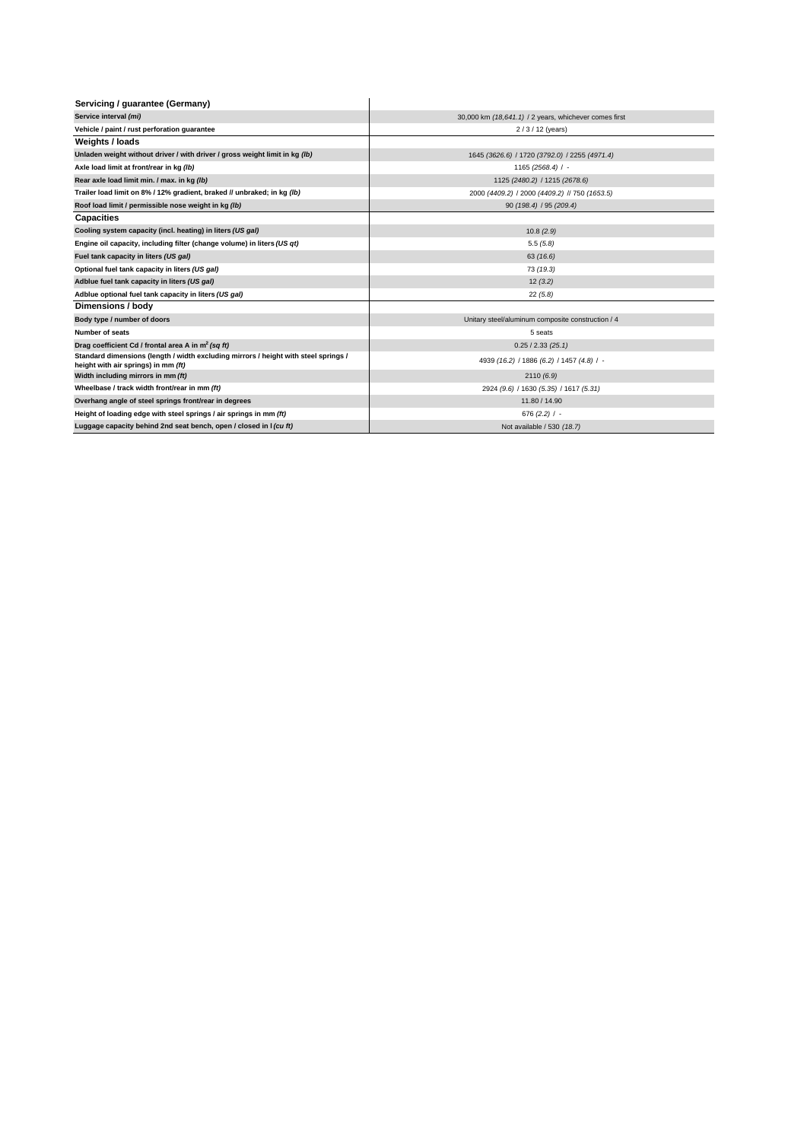| Servicing / guarantee (Germany)                                                                                            |                                                       |
|----------------------------------------------------------------------------------------------------------------------------|-------------------------------------------------------|
| Service interval (mi)                                                                                                      | 30,000 km (18,641.1) / 2 years, whichever comes first |
| Vehicle / paint / rust perforation guarantee                                                                               | 2/3/12 (years)                                        |
| Weights / loads                                                                                                            |                                                       |
| Unladen weight without driver / with driver / gross weight limit in kg (lb)                                                | 1645 (3626.6) / 1720 (3792.0) / 2255 (4971.4)         |
| Axle load limit at front/rear in kg (lb)                                                                                   | 1165 (2568.4) / -                                     |
| Rear axle load limit min. / max. in kg (lb)                                                                                | 1125 (2480.2) / 1215 (2678.6)                         |
| Trailer load limit on 8% / 12% gradient, braked // unbraked; in kg (lb)                                                    | 2000 (4409.2) / 2000 (4409.2) // 750 (1653.5)         |
| Roof load limit / permissible nose weight in kg (lb)                                                                       | 90 (198.4) / 95 (209.4)                               |
| <b>Capacities</b>                                                                                                          |                                                       |
| Cooling system capacity (incl. heating) in liters (US gal)                                                                 | 10.8(2.9)                                             |
| Engine oil capacity, including filter (change volume) in liters (US qt)                                                    | 5.5(5.8)                                              |
| Fuel tank capacity in liters (US gal)                                                                                      | 63(16.6)                                              |
| Optional fuel tank capacity in liters (US gal)                                                                             | 73 (19.3)                                             |
| Adblue fuel tank capacity in liters (US gal)                                                                               | 12(3.2)                                               |
| Adblue optional fuel tank capacity in liters (US gal)                                                                      | 22(5.8)                                               |
| Dimensions / body                                                                                                          |                                                       |
| Body type / number of doors                                                                                                | Unitary steel/aluminum composite construction / 4     |
| <b>Number of seats</b>                                                                                                     | 5 seats                                               |
| Drag coefficient Cd / frontal area A in m <sup>2</sup> (sq ft)                                                             | 0.25 / 2.33 (25.1)                                    |
| Standard dimensions (length / width excluding mirrors / height with steel springs /<br>height with air springs) in mm (ft) | 4939 (16.2) / 1886 (6.2) / 1457 (4.8) / -             |
| Width including mirrors in mm (ft)                                                                                         | 2110(6.9)                                             |
| Wheelbase / track width front/rear in mm (ft)                                                                              | 2924 (9.6) / 1630 (5.35) / 1617 (5.31)                |
| Overhang angle of steel springs front/rear in degrees                                                                      | 11.80 / 14.90                                         |
| Height of loading edge with steel springs / air springs in mm (ft)                                                         | 676 $(2.2)$ / -                                       |
| Luggage capacity behind 2nd seat bench, open / closed in I (cu ft)                                                         | Not available / 530 (18.7)                            |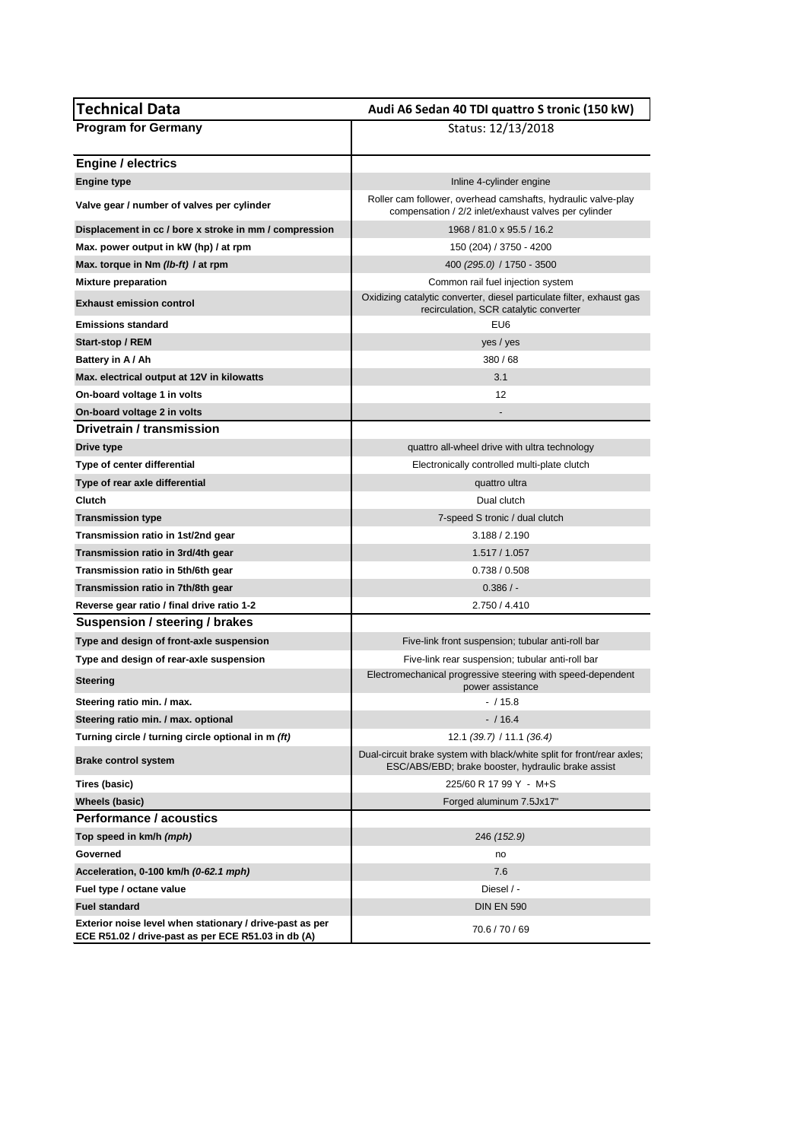| <b>Technical Data</b>                                                                                           | Audi A6 Sedan 40 TDI quattro S tronic (150 kW)                                                                               |
|-----------------------------------------------------------------------------------------------------------------|------------------------------------------------------------------------------------------------------------------------------|
| <b>Program for Germany</b>                                                                                      | Status: 12/13/2018                                                                                                           |
| <b>Engine / electrics</b>                                                                                       |                                                                                                                              |
| <b>Engine type</b>                                                                                              | Inline 4-cylinder engine                                                                                                     |
| Valve gear / number of valves per cylinder                                                                      | Roller cam follower, overhead camshafts, hydraulic valve-play<br>compensation / 2/2 inlet/exhaust valves per cylinder        |
| Displacement in cc / bore x stroke in mm / compression                                                          | 1968 / 81.0 x 95.5 / 16.2                                                                                                    |
| Max. power output in kW (hp) / at rpm                                                                           | 150 (204) / 3750 - 4200                                                                                                      |
| Max. torque in Nm (lb-ft) / at rpm                                                                              | 400 (295.0) / 1750 - 3500                                                                                                    |
| <b>Mixture preparation</b>                                                                                      | Common rail fuel injection system                                                                                            |
| <b>Exhaust emission control</b>                                                                                 | Oxidizing catalytic converter, diesel particulate filter, exhaust gas<br>recirculation, SCR catalytic converter              |
| <b>Emissions standard</b>                                                                                       | EU6                                                                                                                          |
| Start-stop / REM                                                                                                | yes / yes                                                                                                                    |
| Battery in A / Ah                                                                                               | 380/68                                                                                                                       |
| Max. electrical output at 12V in kilowatts                                                                      | 3.1                                                                                                                          |
| On-board voltage 1 in volts                                                                                     | 12                                                                                                                           |
| On-board voltage 2 in volts                                                                                     |                                                                                                                              |
| Drivetrain / transmission                                                                                       |                                                                                                                              |
| Drive type                                                                                                      | quattro all-wheel drive with ultra technology                                                                                |
| Type of center differential                                                                                     | Electronically controlled multi-plate clutch                                                                                 |
| Type of rear axle differential                                                                                  | quattro ultra                                                                                                                |
| <b>Clutch</b>                                                                                                   | Dual clutch                                                                                                                  |
| <b>Transmission type</b>                                                                                        | 7-speed S tronic / dual clutch                                                                                               |
| Transmission ratio in 1st/2nd gear                                                                              | 3.188 / 2.190                                                                                                                |
| Transmission ratio in 3rd/4th gear                                                                              | 1.517 / 1.057                                                                                                                |
| Transmission ratio in 5th/6th gear                                                                              | 0.738 / 0.508                                                                                                                |
| Transmission ratio in 7th/8th gear                                                                              | $0.386/$ -                                                                                                                   |
| Reverse gear ratio / final drive ratio 1-2                                                                      | 2.750 / 4.410                                                                                                                |
| Suspension / steering / brakes                                                                                  |                                                                                                                              |
| Type and design of front-axle suspension                                                                        | Five-link front suspension; tubular anti-roll bar                                                                            |
| Type and design of rear-axle suspension                                                                         | Five-link rear suspension; tubular anti-roll bar                                                                             |
| <b>Steering</b>                                                                                                 | Electromechanical progressive steering with speed-dependent<br>power assistance                                              |
| Steering ratio min. / max.                                                                                      | $-/15.8$                                                                                                                     |
| Steering ratio min. / max. optional                                                                             | $- / 16.4$                                                                                                                   |
| Turning circle / turning circle optional in m (ft)                                                              | 12.1 (39.7) / 11.1 (36.4)                                                                                                    |
| <b>Brake control system</b>                                                                                     | Dual-circuit brake system with black/white split for front/rear axles;<br>ESC/ABS/EBD; brake booster, hydraulic brake assist |
| Tires (basic)                                                                                                   | 225/60 R 17 99 Y - M+S                                                                                                       |
| Wheels (basic)                                                                                                  | Forged aluminum 7.5Jx17"                                                                                                     |
| <b>Performance / acoustics</b>                                                                                  |                                                                                                                              |
| Top speed in km/h (mph)                                                                                         | 246 (152.9)                                                                                                                  |
| Governed                                                                                                        | no                                                                                                                           |
| Acceleration, 0-100 km/h (0-62.1 mph)                                                                           | 7.6                                                                                                                          |
| Fuel type / octane value                                                                                        | Diesel / -                                                                                                                   |
| <b>Fuel standard</b>                                                                                            | <b>DIN EN 590</b>                                                                                                            |
| Exterior noise level when stationary / drive-past as per<br>ECE R51.02 / drive-past as per ECE R51.03 in db (A) | 70.6 / 70 / 69                                                                                                               |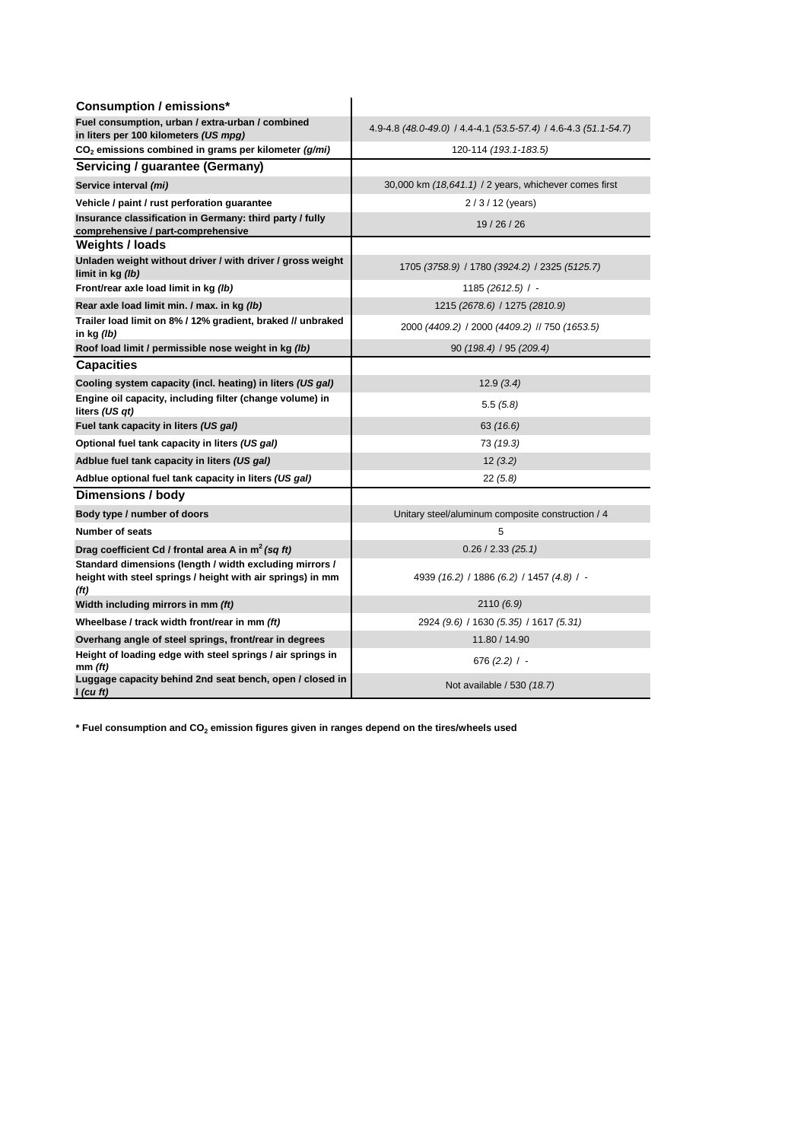| <b>Consumption / emissions*</b>                                                                                               |                                                                 |
|-------------------------------------------------------------------------------------------------------------------------------|-----------------------------------------------------------------|
| Fuel consumption, urban / extra-urban / combined<br>in liters per 100 kilometers (US mpg)                                     | 4.9-4.8 (48.0-49.0) / 4.4-4.1 (53.5-57.4) / 4.6-4.3 (51.1-54.7) |
| CO <sub>2</sub> emissions combined in grams per kilometer (g/mi)                                                              | 120-114 (193.1-183.5)                                           |
| <b>Servicing / guarantee (Germany)</b>                                                                                        |                                                                 |
| Service interval (mi)                                                                                                         | 30,000 km (18,641.1) / 2 years, whichever comes first           |
| Vehicle / paint / rust perforation guarantee                                                                                  | $2/3/12$ (years)                                                |
| Insurance classification in Germany: third party / fully<br>comprehensive / part-comprehensive                                | 19/26/26                                                        |
| <b>Weights / loads</b>                                                                                                        |                                                                 |
| Unladen weight without driver / with driver / gross weight<br>limit in $kg$ (lb)                                              | 1705 (3758.9) / 1780 (3924.2) / 2325 (5125.7)                   |
| Front/rear axle load limit in kg (lb)                                                                                         | $1185(2612.5)$ / -                                              |
| Rear axle load limit min. / max. in kg (lb)                                                                                   | 1215 (2678.6) / 1275 (2810.9)                                   |
| Trailer load limit on 8% / 12% gradient, braked // unbraked<br>in kg (lb)                                                     | 2000 (4409.2) / 2000 (4409.2) // 750 (1653.5)                   |
| Roof load limit / permissible nose weight in kg (lb)                                                                          | 90 (198.4) / 95 (209.4)                                         |
| <b>Capacities</b>                                                                                                             |                                                                 |
| Cooling system capacity (incl. heating) in liters (US gal)                                                                    | 12.9(3.4)                                                       |
| Engine oil capacity, including filter (change volume) in<br>liters (US qt)                                                    | 5.5(5.8)                                                        |
| Fuel tank capacity in liters (US gal)                                                                                         | 63(16.6)                                                        |
| Optional fuel tank capacity in liters (US gal)                                                                                | 73 (19.3)                                                       |
| Adblue fuel tank capacity in liters (US gal)                                                                                  | 12(3.2)                                                         |
| Adblue optional fuel tank capacity in liters (US gal)                                                                         | 22(5.8)                                                         |
| <b>Dimensions / body</b>                                                                                                      |                                                                 |
| Body type / number of doors                                                                                                   | Unitary steel/aluminum composite construction / 4               |
| <b>Number of seats</b>                                                                                                        | 5                                                               |
| Drag coefficient Cd / frontal area A in $m^2$ (sq ft)                                                                         | 0.26 / 2.33 (25.1)                                              |
| Standard dimensions (length / width excluding mirrors /<br>height with steel springs / height with air springs) in mm<br>(ft) | 4939 (16.2) / 1886 (6.2) / 1457 (4.8) / -                       |
| Width including mirrors in mm (ft)                                                                                            | 2110(6.9)                                                       |
| Wheelbase / track width front/rear in mm (ft)                                                                                 | 2924 (9.6) / 1630 (5.35) / 1617 (5.31)                          |
| Overhang angle of steel springs, front/rear in degrees                                                                        | 11.80 / 14.90                                                   |
| Height of loading edge with steel springs / air springs in<br>$mm$ (ft)                                                       | 676 $(2.2)$ / -                                                 |
| Luggage capacity behind 2nd seat bench, open / closed in<br>$l$ (cu ft)                                                       | Not available / 530 (18.7)                                      |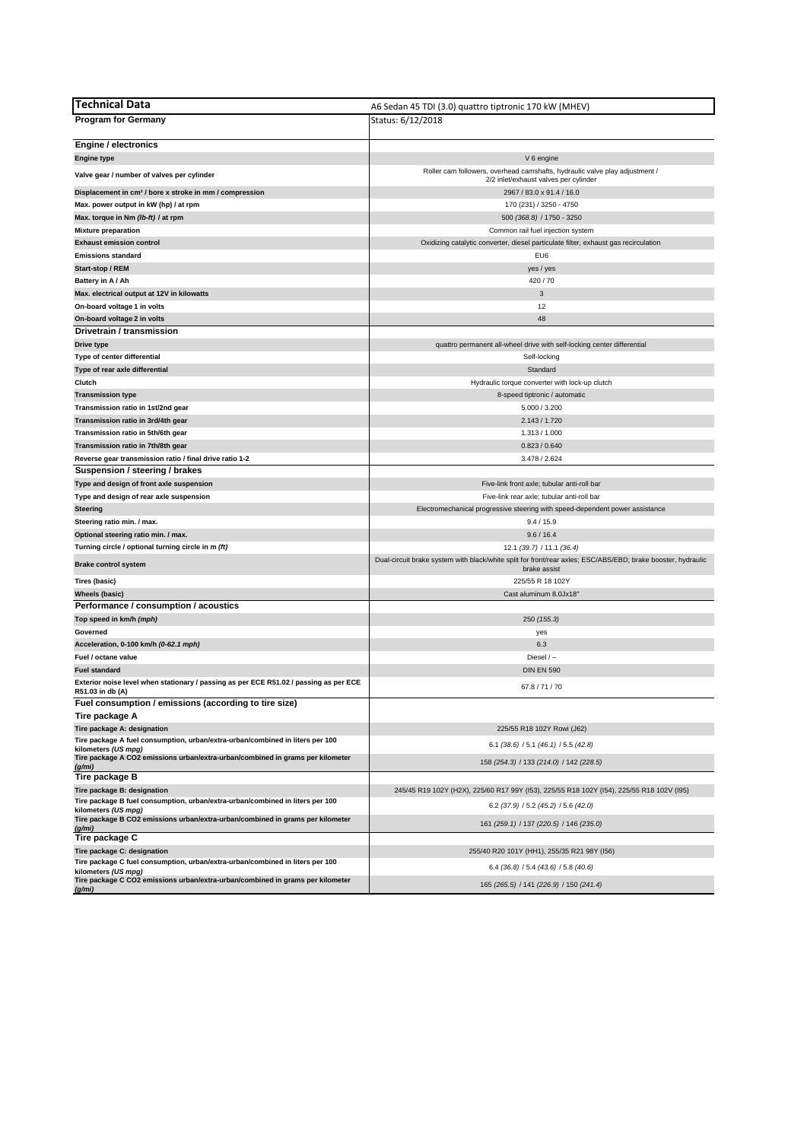| Technical Data                                                                                                  | A6 Sedan 45 TDI (3.0) quattro tiptronic 170 kW (MHEV)                                                                        |
|-----------------------------------------------------------------------------------------------------------------|------------------------------------------------------------------------------------------------------------------------------|
| <b>Program for Germany</b>                                                                                      | Status: 6/12/2018                                                                                                            |
|                                                                                                                 |                                                                                                                              |
| Engine / electronics                                                                                            |                                                                                                                              |
| <b>Engine type</b>                                                                                              | V 6 engine                                                                                                                   |
| Valve gear / number of valves per cylinder                                                                      | Roller cam followers, overhead camshafts, hydraulic valve play adjustment /<br>2/2 inlet/exhaust valves per cylinder         |
| Displacement in cm <sup>3</sup> / bore x stroke in mm / compression                                             | 2967 / 83.0 x 91.4 / 16.0                                                                                                    |
| Max. power output in kW (hp) / at rpm                                                                           | 170 (231) / 3250 - 4750                                                                                                      |
| Max. torque in Nm (lb-ft) / at rpm                                                                              | 500 (368.8) / 1750 - 3250                                                                                                    |
| <b>Mixture preparation</b>                                                                                      | Common rail fuel injection system                                                                                            |
| <b>Exhaust emission control</b>                                                                                 | Oxidizing catalytic converter, diesel particulate filter, exhaust gas recirculation                                          |
| <b>Emissions standard</b>                                                                                       | EU6                                                                                                                          |
| Start-stop / REM                                                                                                | yes / yes                                                                                                                    |
| Battery in A / Ah                                                                                               | 420/70                                                                                                                       |
| Max. electrical output at 12V in kilowatts                                                                      | 3                                                                                                                            |
| On-board voltage 1 in volts                                                                                     | 12                                                                                                                           |
| On-board voltage 2 in volts                                                                                     | 48                                                                                                                           |
| Drivetrain / transmission                                                                                       |                                                                                                                              |
| Drive type                                                                                                      | quattro permanent all-wheel drive with self-locking center differential                                                      |
| Type of center differential                                                                                     | Self-locking                                                                                                                 |
| Type of rear axle differential                                                                                  | Standard                                                                                                                     |
| Clutch                                                                                                          | Hydraulic torque converter with lock-up clutch                                                                               |
| <b>Transmission type</b>                                                                                        | 8-speed tiptronic / automatic                                                                                                |
| Transmission ratio in 1st/2nd gear                                                                              | 5.000 / 3.200                                                                                                                |
| Transmission ratio in 3rd/4th gear                                                                              | 2.143 / 1.720                                                                                                                |
| Transmission ratio in 5th/6th gear                                                                              | 1.313 / 1.000                                                                                                                |
| Transmission ratio in 7th/8th gear                                                                              | 0.823 / 0.640                                                                                                                |
| Reverse gear transmission ratio / final drive ratio 1-2                                                         | 3.478 / 2.624                                                                                                                |
| Suspension / steering / brakes                                                                                  |                                                                                                                              |
| Type and design of front axle suspension                                                                        | Five-link front axle; tubular anti-roll bar                                                                                  |
| Type and design of rear axle suspension                                                                         | Five-link rear axle; tubular anti-roll bar                                                                                   |
| <b>Steering</b>                                                                                                 | Electromechanical progressive steering with speed-dependent power assistance                                                 |
| Steering ratio min. / max.                                                                                      | 9.4 / 15.9                                                                                                                   |
| Optional steering ratio min. / max.                                                                             | 9.6 / 16.4                                                                                                                   |
| Turning circle / optional turning circle in m (ft)                                                              | 12.1 (39.7) / 11.1 (36.4)                                                                                                    |
| <b>Brake control system</b>                                                                                     | Dual-circuit brake system with black/white split for front/rear axles; ESC/ABS/EBD; brake booster, hydraulic<br>brake assist |
| Tires (basic)                                                                                                   | 225/55 R 18 102Y                                                                                                             |
| <b>Wheels (basic)</b>                                                                                           | Cast aluminum 8.0Jx18'                                                                                                       |
| Performance / consumption / acoustics                                                                           |                                                                                                                              |
| Top speed in km/h (mph)                                                                                         | 250 (155.3)                                                                                                                  |
| Governed                                                                                                        | yes                                                                                                                          |
| Acceleration, 0-100 km/h (0-62.1 mph)                                                                           | 6.3                                                                                                                          |
| Fuel / octane value                                                                                             | Diesel / -                                                                                                                   |
| <b>Fuel standard</b>                                                                                            | <b>DIN EN 590</b>                                                                                                            |
| Exterior noise level when stationary / passing as per ECE R51.02 / passing as per ECE<br>R51.03 in db (A)       | 67.8 / 71 / 70                                                                                                               |
| Fuel consumption / emissions (according to tire size)                                                           |                                                                                                                              |
| Tire package A                                                                                                  |                                                                                                                              |
| Tire package A: designation                                                                                     | 225/55 R18 102Y Rowi (J62)                                                                                                   |
| Tire package A fuel consumption, urban/extra-urban/combined in liters per 100<br>kilometers (US mpg)            | $6.1$ (38.6) / 5.1 (46.1) / 5.5 (42.8)                                                                                       |
| Tire package A CO2 emissions urban/extra-urban/combined in grams per kilometer<br>(g/mi)                        | 158 (254.3) / 133 (214.0) / 142 (228.5)                                                                                      |
| Tire package B                                                                                                  |                                                                                                                              |
| Tire package B: designation                                                                                     | 245/45 R19 102Y (H2X), 225/60 R17 99Y (I53), 225/55 R18 102Y (I54), 225/55 R18 102V (I95)                                    |
| Tire package B fuel consumption, urban/extra-urban/combined in liters per 100<br>kilometers (US mpg)            | $6.2$ (37.9) / 5.2 (45.2) / 5.6 (42.0)                                                                                       |
| Tire package B CO2 emissions urban/extra-urban/combined in grams per kilometer<br>(g/mi)                        | 161 (259.1) / 137 (220.5) / 146 (235.0)                                                                                      |
| Tire package C                                                                                                  |                                                                                                                              |
| Tire package C: designation                                                                                     | 255/40 R20 101Y (HH1), 255/35 R21 98Y (I56)                                                                                  |
| Tire package C fuel consumption, urban/extra-urban/combined in liters per 100                                   | $6.4$ (36.8) / 5.4 (43.6) / 5.8 (40.6)                                                                                       |
| kilometers (US mpg)<br>Tire package C CO2 emissions urban/extra-urban/combined in grams per kilometer<br>(q/ml) | 165 (265.5) / 141 (226.9) / 150 (241.4)                                                                                      |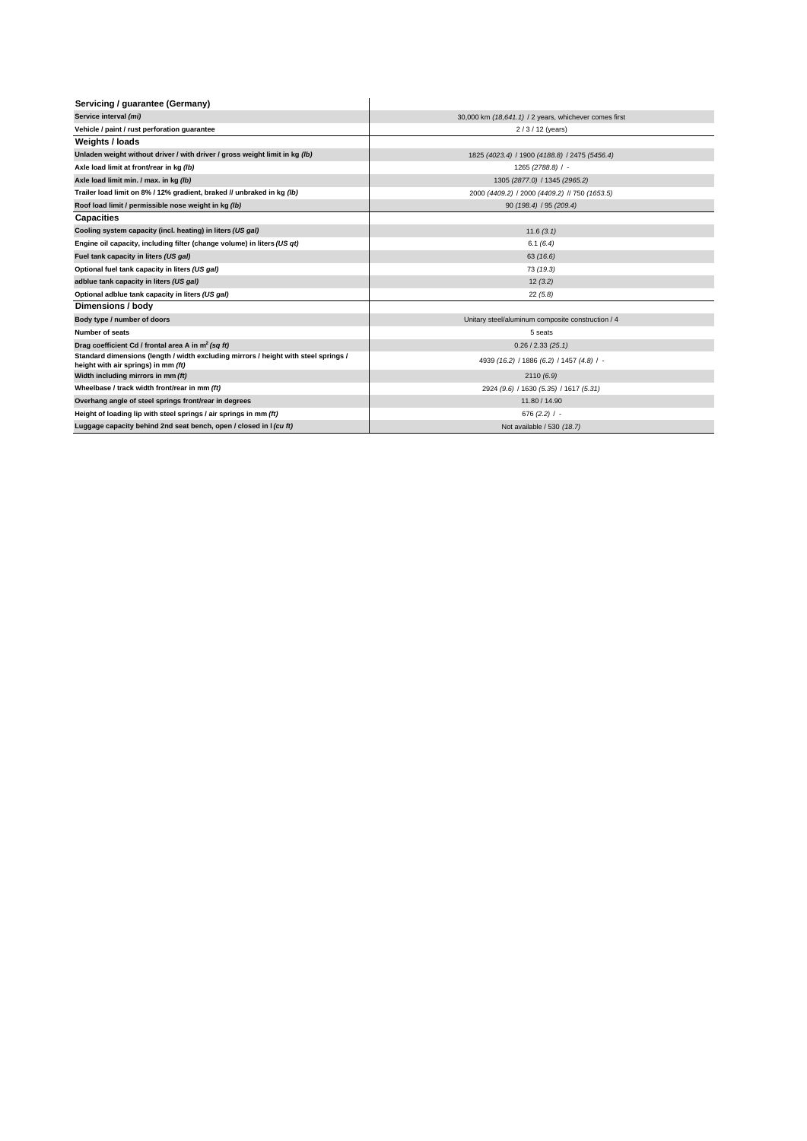| Servicing / guarantee (Germany)                                                                                            |                                                       |
|----------------------------------------------------------------------------------------------------------------------------|-------------------------------------------------------|
| Service interval (mi)                                                                                                      | 30,000 km (18,641.1) / 2 years, whichever comes first |
| Vehicle / paint / rust perforation guarantee                                                                               | 2/3/12 (years)                                        |
| Weights / loads                                                                                                            |                                                       |
| Unladen weight without driver / with driver / gross weight limit in kg (lb)                                                | 1825 (4023.4) / 1900 (4188.8) / 2475 (5456.4)         |
| Axle load limit at front/rear in kg (lb)                                                                                   | 1265 (2788.8) / -                                     |
| Axle load limit min. / max. in kg (lb)                                                                                     | 1305 (2877.0) / 1345 (2965.2)                         |
| Trailer load limit on 8% / 12% gradient, braked // unbraked in kg (Ib)                                                     | 2000 (4409.2) / 2000 (4409.2) // 750 (1653.5)         |
| Roof load limit / permissible nose weight in kg (lb)                                                                       | 90 (198.4) / 95 (209.4)                               |
| <b>Capacities</b>                                                                                                          |                                                       |
| Cooling system capacity (incl. heating) in liters (US gal)                                                                 | 11.6(3.1)                                             |
| Engine oil capacity, including filter (change volume) in liters (US qt)                                                    | 6.1(6.4)                                              |
| Fuel tank capacity in liters (US gal)                                                                                      | 63(16.6)                                              |
| Optional fuel tank capacity in liters (US gal)                                                                             | 73 (19.3)                                             |
| adblue tank capacity in liters (US gal)                                                                                    | 12(3.2)                                               |
| Optional adblue tank capacity in liters (US gal)                                                                           | 22(5.8)                                               |
| Dimensions / body                                                                                                          |                                                       |
| Body type / number of doors                                                                                                | Unitary steel/aluminum composite construction / 4     |
| <b>Number of seats</b>                                                                                                     | 5 seats                                               |
| Drag coefficient Cd / frontal area A in m <sup>2</sup> (sq ft)                                                             | 0.26 / 2.33 (25.1)                                    |
| Standard dimensions (length / width excluding mirrors / height with steel springs /<br>height with air springs) in mm (ft) | 4939 (16.2) / 1886 (6.2) / 1457 (4.8) / -             |
| Width including mirrors in mm (ft)                                                                                         | 2110(6.9)                                             |
| Wheelbase / track width front/rear in mm (ft)                                                                              | 2924 (9.6) / 1630 (5.35) / 1617 (5.31)                |
| Overhang angle of steel springs front/rear in degrees                                                                      | 11.80 / 14.90                                         |
| Height of loading lip with steel springs / air springs in mm (ft)                                                          | 676 $(2.2)$ / -                                       |
| Luggage capacity behind 2nd seat bench, open / closed in I (cu ft)                                                         | Not available / 530 (18.7)                            |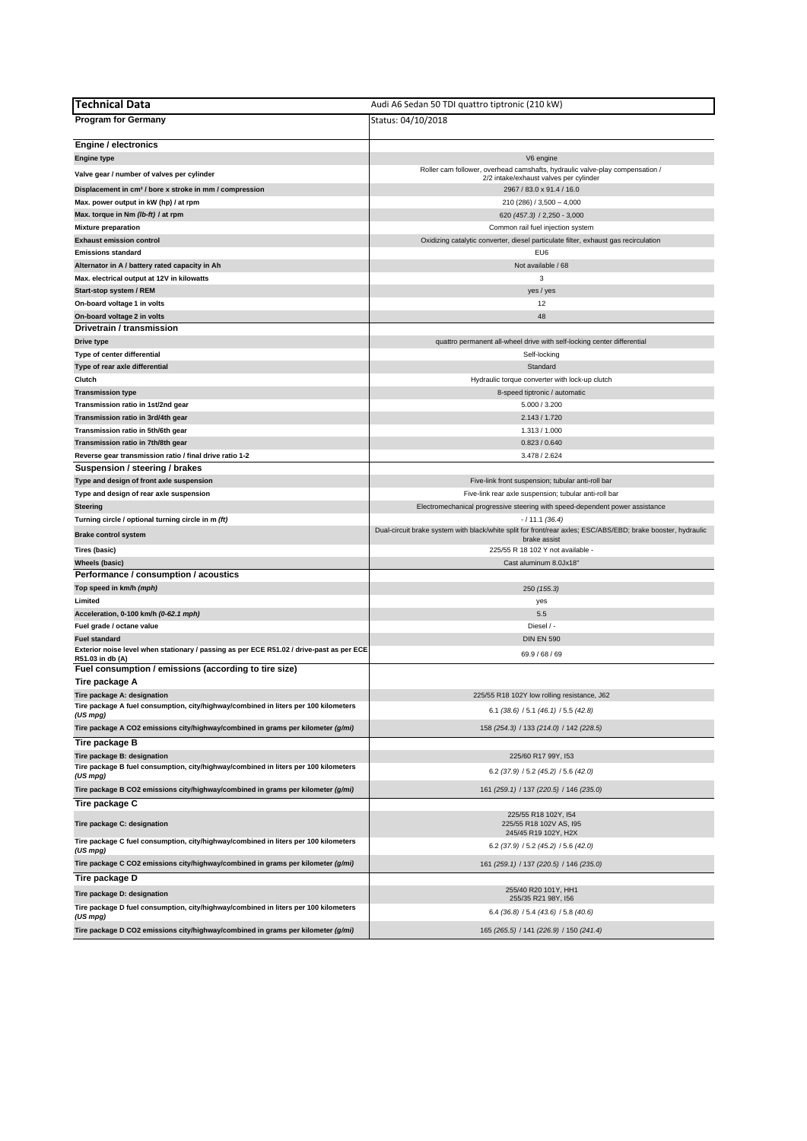| Technical Data                                                                                  | Audi A6 Sedan 50 TDI quattro tiptronic (210 kW)                                                                        |
|-------------------------------------------------------------------------------------------------|------------------------------------------------------------------------------------------------------------------------|
| <b>Program for Germany</b>                                                                      | Status: 04/10/2018                                                                                                     |
|                                                                                                 |                                                                                                                        |
| Engine / electronics                                                                            |                                                                                                                        |
| <b>Engine type</b>                                                                              | V6 engine                                                                                                              |
| Valve gear / number of valves per cylinder                                                      | Roller cam follower, overhead camshafts, hydraulic valve-play compensation /<br>2/2 intake/exhaust valves per cylinder |
| Displacement in cm <sup>3</sup> / bore x stroke in mm / compression                             | 2967 / 83.0 x 91.4 / 16.0                                                                                              |
| Max. power output in kW (hp) / at rpm                                                           | 210 (286) / 3,500 - 4,000                                                                                              |
| Max. torque in Nm (Ib-ft) / at rpm                                                              | 620 (457.3) / 2,250 - 3,000                                                                                            |
| <b>Mixture preparation</b>                                                                      | Common rail fuel injection system                                                                                      |
| <b>Exhaust emission control</b>                                                                 | Oxidizing catalytic converter, diesel particulate filter, exhaust gas recirculation                                    |
| <b>Emissions standard</b>                                                                       | EU6                                                                                                                    |
| Alternator in A / battery rated capacity in Ah                                                  | Not available / 68                                                                                                     |
| Max. electrical output at 12V in kilowatts                                                      | 3                                                                                                                      |
| Start-stop system / REM                                                                         | yes / yes                                                                                                              |
| On-board voltage 1 in volts                                                                     | 12                                                                                                                     |
| On-board voltage 2 in volts                                                                     | 48                                                                                                                     |
| Drivetrain / transmission                                                                       |                                                                                                                        |
| Drive type                                                                                      | quattro permanent all-wheel drive with self-locking center differential                                                |
| Type of center differential                                                                     | Self-locking                                                                                                           |
| Type of rear axle differential                                                                  | Standard                                                                                                               |
| Clutch                                                                                          | Hydraulic torque converter with lock-up clutch                                                                         |
| <b>Transmission type</b>                                                                        | 8-speed tiptronic / automatic                                                                                          |
| Transmission ratio in 1st/2nd gear                                                              | 5.000 / 3.200<br>2.143 / 1.720                                                                                         |
| Transmission ratio in 3rd/4th gear<br>Transmission ratio in 5th/6th gear                        | 1.313 / 1.000                                                                                                          |
| Transmission ratio in 7th/8th gear                                                              | 0.823 / 0.640                                                                                                          |
| Reverse gear transmission ratio / final drive ratio 1-2                                         | 3.478 / 2.624                                                                                                          |
| Suspension / steering / brakes                                                                  |                                                                                                                        |
| Type and design of front axle suspension                                                        | Five-link front suspension; tubular anti-roll bar                                                                      |
| Type and design of rear axle suspension                                                         | Five-link rear axle suspension; tubular anti-roll bar                                                                  |
| <b>Steering</b>                                                                                 | Electromechanical progressive steering with speed-dependent power assistance                                           |
| Turning circle / optional turning circle in m (ft)                                              | $-/11.1(36.4)$                                                                                                         |
| <b>Brake control system</b>                                                                     | Dual-circuit brake system with black/white split for front/rear axles; ESC/ABS/EBD; brake booster, hydraulic           |
|                                                                                                 | brake assist                                                                                                           |
| Tires (basic)<br>Wheels (basic)                                                                 | 225/55 R 18 102 Y not available -<br>Cast aluminum 8.0Jx18'                                                            |
| Performance / consumption / acoustics                                                           |                                                                                                                        |
| Top speed in km/h (mph)                                                                         | 250 (155.3)                                                                                                            |
| Limited                                                                                         | yes                                                                                                                    |
| Acceleration, 0-100 km/h (0-62.1 mph)                                                           | 5.5                                                                                                                    |
| Fuel grade / octane value                                                                       | Diesel / -                                                                                                             |
| <b>Fuel standard</b>                                                                            | <b>DIN EN 590</b>                                                                                                      |
| Exterior noise level when stationary / passing as per ECE R51.02 / drive-past as per ECE        | 69.9 / 68 / 69                                                                                                         |
| R51.03 in db (A)<br>Fuel consumption / emissions (according to tire size)                       |                                                                                                                        |
| Tire package A                                                                                  |                                                                                                                        |
| Tire package A: designation                                                                     | 225/55 R18 102Y low rolling resistance, J62                                                                            |
| Tire package A fuel consumption, city/highway/combined in liters per 100 kilometers             |                                                                                                                        |
| (US mpg)                                                                                        | $6.1$ (38.6) / 5.1 (46.1) / 5.5 (42.8)                                                                                 |
| Tire package A CO2 emissions city/highway/combined in grams per kilometer (g/mi)                | 158 (254.3) / 133 (214.0) / 142 (228.5)                                                                                |
| Tire package B                                                                                  |                                                                                                                        |
| Tire package B: designation                                                                     | 225/60 R17 99Y, I53                                                                                                    |
| Tire package B fuel consumption, city/highway/combined in liters per 100 kilometers<br>(US mpg) | $6.2$ (37.9) / 5.2 (45.2) / 5.6 (42.0)                                                                                 |
| Tire package B CO2 emissions city/highway/combined in grams per kilometer (g/mi)                | 161 (259.1) / 137 (220.5) / 146 (235.0)                                                                                |
|                                                                                                 |                                                                                                                        |
| Tire package C                                                                                  | 225/55 R18 102Y, I54                                                                                                   |
| Tire package C: designation                                                                     | 225/55 R18 102V AS, I95                                                                                                |
| Tire package C fuel consumption, city/highway/combined in liters per 100 kilometers             | 245/45 R19 102Y, H2X                                                                                                   |
| (US mpg)                                                                                        | $6.2$ (37.9) / 5.2 (45.2) / 5.6 (42.0)                                                                                 |
| Tire package C CO2 emissions city/highway/combined in grams per kilometer (g/mi)                | 161 (259.1) / 137 (220.5) / 146 (235.0)                                                                                |
| Tire package D                                                                                  |                                                                                                                        |
| Tire package D: designation                                                                     | 255/40 R20 101Y, HH1                                                                                                   |
| Tire package D fuel consumption, city/highway/combined in liters per 100 kilometers             | 255/35 R21 98Y, I56                                                                                                    |
| (US mpg)                                                                                        | $6.4$ (36.8) $/5.4$ (43.6) $/5.8$ (40.6)                                                                               |
| Tire package D CO2 emissions city/highway/combined in grams per kilometer (g/mi)                | 165 (265.5) / 141 (226.9) / 150 (241.4)                                                                                |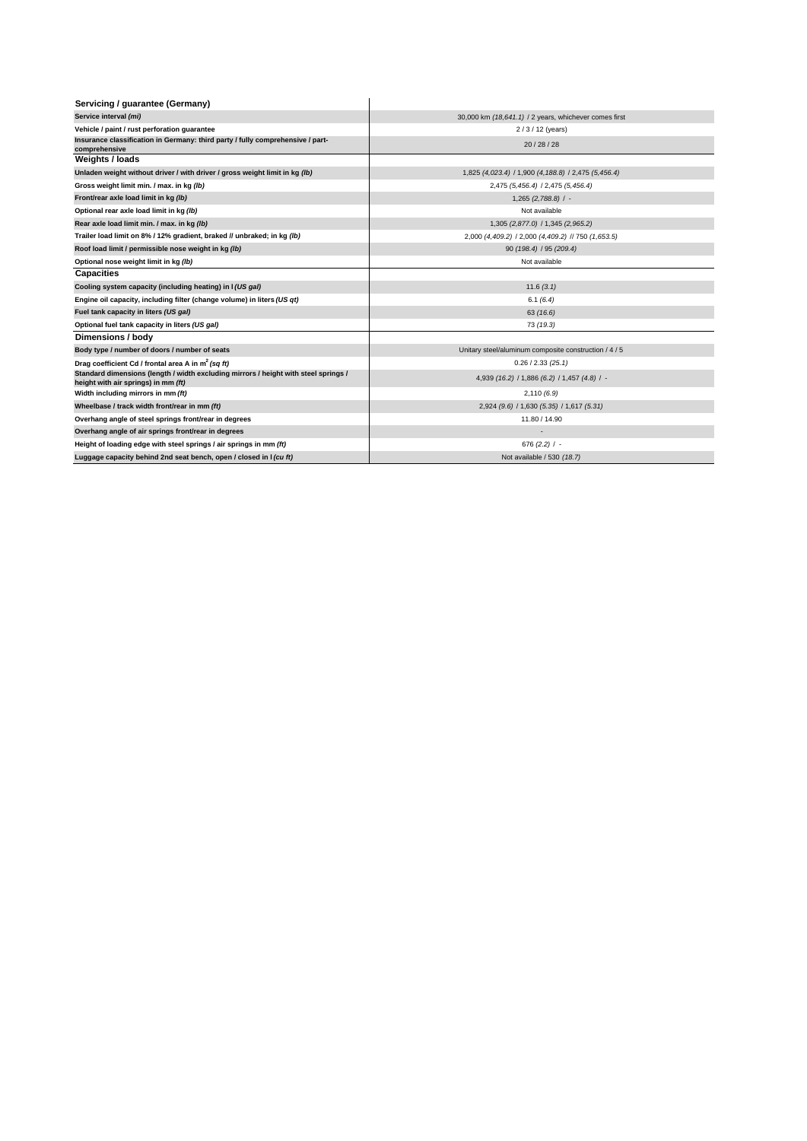| Servicing / guarantee (Germany)                                                                                            |                                                       |
|----------------------------------------------------------------------------------------------------------------------------|-------------------------------------------------------|
| Service interval (mi)                                                                                                      | 30,000 km (18,641.1) / 2 years, whichever comes first |
| Vehicle / paint / rust perforation guarantee                                                                               | 2/3/12 (years)                                        |
| Insurance classification in Germany: third party / fully comprehensive / part-<br>comprehensive                            | 20/28/28                                              |
| <b>Weights / loads</b>                                                                                                     |                                                       |
| Unladen weight without driver / with driver / gross weight limit in kg (lb)                                                | 1,825 (4,023.4) / 1,900 (4,188.8) / 2,475 (5,456.4)   |
| Gross weight limit min. / max. in kg (lb)                                                                                  | 2,475 (5,456.4) / 2,475 (5,456.4)                     |
| Front/rear axle load limit in kg (lb)                                                                                      | $1,265$ (2,788.8) / -                                 |
| Optional rear axle load limit in kg (lb)                                                                                   | Not available                                         |
| Rear axle load limit min. / max. in kg (lb)                                                                                | 1,305 (2,877.0) / 1,345 (2,965.2)                     |
| Trailer load limit on 8% / 12% gradient, braked // unbraked; in kg (lb)                                                    | 2,000 (4,409.2) / 2,000 (4,409.2) // 750 (1,653.5)    |
| Roof load limit / permissible nose weight in kg (lb)                                                                       | 90 (198.4) / 95 (209.4)                               |
| Optional nose weight limit in kg (Ib)                                                                                      | Not available                                         |
| <b>Capacities</b>                                                                                                          |                                                       |
| Cooling system capacity (including heating) in I (US gal)                                                                  | 11.6(3.1)                                             |
| Engine oil capacity, including filter (change volume) in liters (US qt)                                                    | 6.1(6.4)                                              |
| Fuel tank capacity in liters (US gal)                                                                                      | 63(16.6)                                              |
| Optional fuel tank capacity in liters (US gal)                                                                             | 73 (19.3)                                             |
| Dimensions / body                                                                                                          |                                                       |
| Body type / number of doors / number of seats                                                                              | Unitary steel/aluminum composite construction / 4 / 5 |
| Drag coefficient Cd / frontal area A in $m^2$ (sq ft)                                                                      | 0.26 / 2.33 (25.1)                                    |
| Standard dimensions (length / width excluding mirrors / height with steel springs /<br>height with air springs) in mm (ft) | 4,939 (16.2) / 1,886 (6.2) / 1,457 (4.8) / -          |
| Width including mirrors in mm (ft)                                                                                         | 2,110(6.9)                                            |
| Wheelbase / track width front/rear in mm (ft)                                                                              | 2,924 (9.6) / 1,630 (5.35) / 1,617 (5.31)             |
| Overhang angle of steel springs front/rear in degrees                                                                      | 11.80 / 14.90                                         |
| Overhang angle of air springs front/rear in degrees                                                                        |                                                       |
| Height of loading edge with steel springs / air springs in mm (ft)                                                         | 676 $(2.2)$ / -                                       |
| Luggage capacity behind 2nd seat bench, open / closed in I (cu ft)                                                         | Not available / 530 (18.7)                            |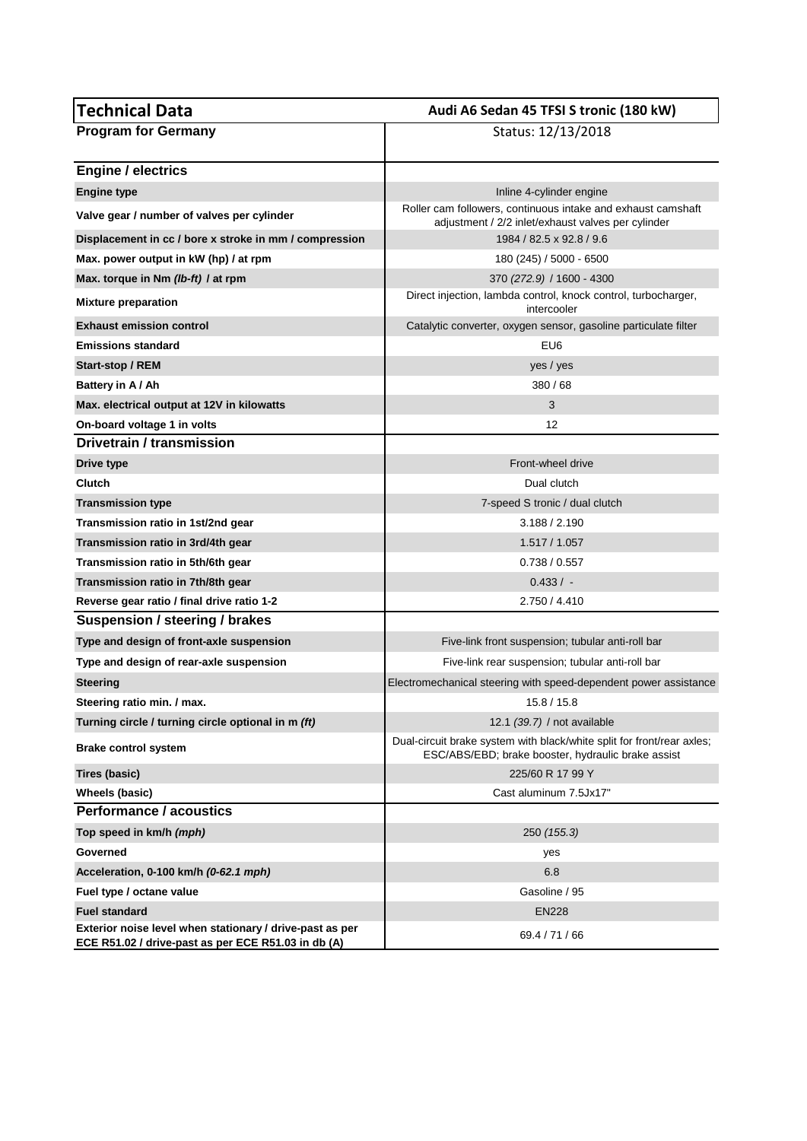| <b>Technical Data</b>                                                                                           | Audi A6 Sedan 45 TFSI S tronic (180 kW)                                                                                      |
|-----------------------------------------------------------------------------------------------------------------|------------------------------------------------------------------------------------------------------------------------------|
| <b>Program for Germany</b>                                                                                      | Status: 12/13/2018                                                                                                           |
|                                                                                                                 |                                                                                                                              |
| <b>Engine / electrics</b>                                                                                       |                                                                                                                              |
| <b>Engine type</b>                                                                                              | Inline 4-cylinder engine                                                                                                     |
| Valve gear / number of valves per cylinder                                                                      | Roller cam followers, continuous intake and exhaust camshaft<br>adjustment / 2/2 inlet/exhaust valves per cylinder           |
| Displacement in cc / bore x stroke in mm / compression                                                          | 1984 / 82.5 x 92.8 / 9.6                                                                                                     |
| Max. power output in kW (hp) / at rpm                                                                           | 180 (245) / 5000 - 6500                                                                                                      |
| Max. torque in Nm (lb-ft) / at rpm                                                                              | 370 (272.9) / 1600 - 4300                                                                                                    |
| <b>Mixture preparation</b>                                                                                      | Direct injection, lambda control, knock control, turbocharger,<br>intercooler                                                |
| <b>Exhaust emission control</b>                                                                                 | Catalytic converter, oxygen sensor, gasoline particulate filter                                                              |
| <b>Emissions standard</b>                                                                                       | EU6                                                                                                                          |
| Start-stop / REM                                                                                                | yes / yes                                                                                                                    |
| Battery in A / Ah                                                                                               | 380/68                                                                                                                       |
| Max. electrical output at 12V in kilowatts                                                                      | 3                                                                                                                            |
| On-board voltage 1 in volts                                                                                     | 12                                                                                                                           |
| Drivetrain / transmission                                                                                       |                                                                                                                              |
| Drive type                                                                                                      | Front-wheel drive                                                                                                            |
| <b>Clutch</b>                                                                                                   | Dual clutch                                                                                                                  |
| <b>Transmission type</b>                                                                                        | 7-speed S tronic / dual clutch                                                                                               |
| Transmission ratio in 1st/2nd gear                                                                              | 3.188 / 2.190                                                                                                                |
| Transmission ratio in 3rd/4th gear                                                                              | 1.517 / 1.057                                                                                                                |
| Transmission ratio in 5th/6th gear                                                                              | 0.738 / 0.557                                                                                                                |
| Transmission ratio in 7th/8th gear                                                                              | $0.433/ -$                                                                                                                   |
| Reverse gear ratio / final drive ratio 1-2                                                                      | 2.750 / 4.410                                                                                                                |
| Suspension / steering / brakes                                                                                  |                                                                                                                              |
| Type and design of front-axle suspension                                                                        | Five-link front suspension; tubular anti-roll bar                                                                            |
| Type and design of rear-axle suspension                                                                         | Five-link rear suspension; tubular anti-roll bar                                                                             |
| <b>Steering</b>                                                                                                 | Electromechanical steering with speed-dependent power assistance                                                             |
| Steering ratio min. / max.                                                                                      | 15.8 / 15.8                                                                                                                  |
| Turning circle / turning circle optional in m (ft)                                                              | 12.1 (39.7) / not available                                                                                                  |
| <b>Brake control system</b>                                                                                     | Dual-circuit brake system with black/white split for front/rear axles;<br>ESC/ABS/EBD; brake booster, hydraulic brake assist |
| Tires (basic)                                                                                                   | 225/60 R 17 99 Y                                                                                                             |
| Wheels (basic)                                                                                                  | Cast aluminum 7.5Jx17"                                                                                                       |
| <b>Performance / acoustics</b>                                                                                  |                                                                                                                              |
| Top speed in km/h (mph)                                                                                         | 250 (155.3)                                                                                                                  |
| Governed                                                                                                        | yes                                                                                                                          |
| Acceleration, 0-100 km/h (0-62.1 mph)                                                                           | 6.8                                                                                                                          |
| Fuel type / octane value                                                                                        | Gasoline / 95                                                                                                                |
| <b>Fuel standard</b>                                                                                            | EN228                                                                                                                        |
| Exterior noise level when stationary / drive-past as per<br>ECE R51.02 / drive-past as per ECE R51.03 in db (A) | 69.4 / 71 / 66                                                                                                               |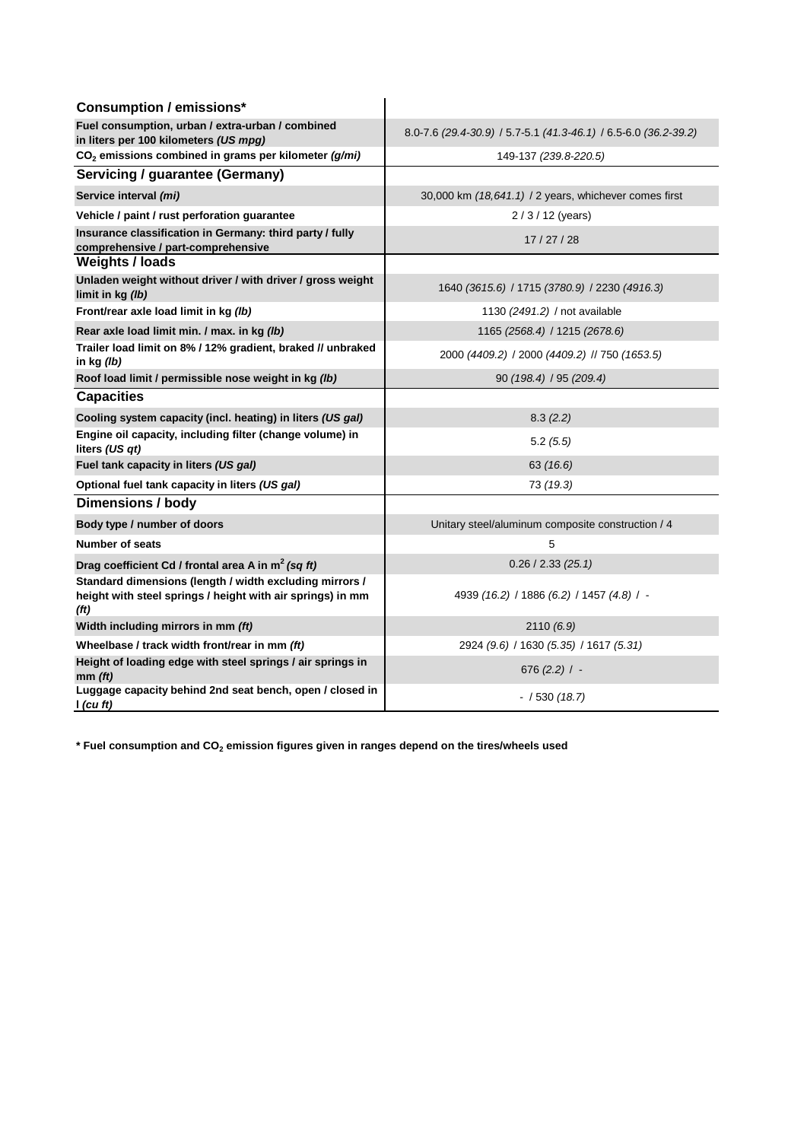| <b>Consumption / emissions*</b>                                                                                                            |                                                                 |
|--------------------------------------------------------------------------------------------------------------------------------------------|-----------------------------------------------------------------|
| Fuel consumption, urban / extra-urban / combined<br>in liters per 100 kilometers (US mpg)                                                  | 8.0-7.6 (29.4-30.9) / 5.7-5.1 (41.3-46.1) / 6.5-6.0 (36.2-39.2) |
| CO <sub>2</sub> emissions combined in grams per kilometer (g/mi)                                                                           | 149-137 (239.8-220.5)                                           |
| <b>Servicing / guarantee (Germany)</b>                                                                                                     |                                                                 |
| Service interval (mi)                                                                                                                      | 30,000 km (18,641.1) / 2 years, whichever comes first           |
| Vehicle / paint / rust perforation guarantee                                                                                               | $2/3/12$ (years)                                                |
| Insurance classification in Germany: third party / fully<br>comprehensive / part-comprehensive                                             | 17/27/28                                                        |
| <b>Weights / loads</b>                                                                                                                     |                                                                 |
| Unladen weight without driver / with driver / gross weight<br>limit in kg (lb)                                                             | 1640 (3615.6) / 1715 (3780.9) / 2230 (4916.3)                   |
| Front/rear axle load limit in kg (lb)                                                                                                      | 1130 (2491.2) / not available                                   |
| Rear axle load limit min. / max. in kg (lb)                                                                                                | 1165 (2568.4) / 1215 (2678.6)                                   |
| Trailer load limit on 8% / 12% gradient, braked // unbraked<br>in $kg(h)$                                                                  | 2000 (4409.2) / 2000 (4409.2) // 750 (1653.5)                   |
| Roof load limit / permissible nose weight in kg (lb)                                                                                       | 90 (198.4) / 95 (209.4)                                         |
| <b>Capacities</b>                                                                                                                          |                                                                 |
| Cooling system capacity (incl. heating) in liters (US gal)                                                                                 | 8.3(2.2)                                                        |
| Engine oil capacity, including filter (change volume) in<br>liters (US qt)                                                                 | 5.2(5.5)                                                        |
| Fuel tank capacity in liters (US gal)                                                                                                      | 63 (16.6)                                                       |
| Optional fuel tank capacity in liters (US gal)                                                                                             | 73 (19.3)                                                       |
| <b>Dimensions / body</b>                                                                                                                   |                                                                 |
| Body type / number of doors                                                                                                                | Unitary steel/aluminum composite construction / 4               |
| <b>Number of seats</b>                                                                                                                     | 5                                                               |
| Drag coefficient Cd / frontal area A in $m^2$ (sq ft)                                                                                      | 0.26 / 2.33 (25.1)                                              |
| Standard dimensions (length / width excluding mirrors /<br>height with steel springs / height with air springs) in mm<br>(f <sup>t</sup> ) | 4939 (16.2) / 1886 (6.2) / 1457 (4.8) / -                       |
| Width including mirrors in mm (ft)                                                                                                         | 2110(6.9)                                                       |
| Wheelbase / track width front/rear in mm (ft)                                                                                              | 2924 (9.6) / 1630 (5.35) / 1617 (5.31)                          |
| Height of loading edge with steel springs / air springs in<br>$mm$ (ft)                                                                    | 676 $(2.2)$ / -                                                 |
| Luggage capacity behind 2nd seat bench, open / closed in<br>$l$ (cu ft)                                                                    | $-$ / 530 (18.7)                                                |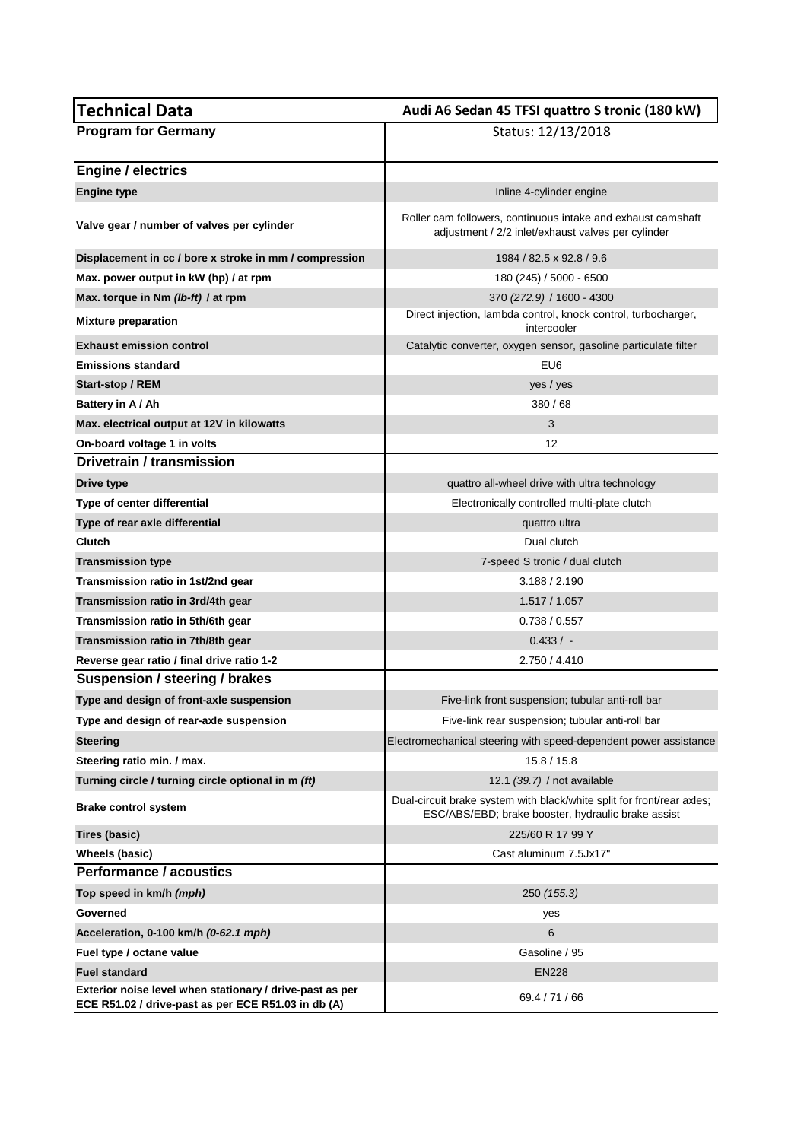| <b>Technical Data</b>                                                                                           | Audi A6 Sedan 45 TFSI quattro S tronic (180 kW)                                                                              |
|-----------------------------------------------------------------------------------------------------------------|------------------------------------------------------------------------------------------------------------------------------|
| <b>Program for Germany</b>                                                                                      | Status: 12/13/2018                                                                                                           |
| <b>Engine / electrics</b>                                                                                       |                                                                                                                              |
| <b>Engine type</b>                                                                                              | Inline 4-cylinder engine                                                                                                     |
| Valve gear / number of valves per cylinder                                                                      | Roller cam followers, continuous intake and exhaust camshaft<br>adjustment / 2/2 inlet/exhaust valves per cylinder           |
| Displacement in cc / bore x stroke in mm / compression                                                          | 1984 / 82.5 x 92.8 / 9.6                                                                                                     |
| Max. power output in kW (hp) / at rpm                                                                           | 180 (245) / 5000 - 6500                                                                                                      |
| Max. torque in Nm (Ib-ft) / at rpm                                                                              | 370 (272.9) / 1600 - 4300                                                                                                    |
| <b>Mixture preparation</b>                                                                                      | Direct injection, lambda control, knock control, turbocharger,<br>intercooler                                                |
| <b>Exhaust emission control</b>                                                                                 | Catalytic converter, oxygen sensor, gasoline particulate filter                                                              |
| <b>Emissions standard</b>                                                                                       | EU6                                                                                                                          |
| Start-stop / REM                                                                                                | yes / yes                                                                                                                    |
| Battery in A / Ah                                                                                               | 380/68                                                                                                                       |
| Max. electrical output at 12V in kilowatts                                                                      | 3                                                                                                                            |
| On-board voltage 1 in volts                                                                                     | 12                                                                                                                           |
| Drivetrain / transmission                                                                                       |                                                                                                                              |
| Drive type                                                                                                      | quattro all-wheel drive with ultra technology                                                                                |
| Type of center differential                                                                                     | Electronically controlled multi-plate clutch                                                                                 |
| Type of rear axle differential                                                                                  | quattro ultra                                                                                                                |
| Clutch                                                                                                          | Dual clutch                                                                                                                  |
| <b>Transmission type</b>                                                                                        | 7-speed S tronic / dual clutch                                                                                               |
| Transmission ratio in 1st/2nd gear                                                                              | 3.188 / 2.190                                                                                                                |
| Transmission ratio in 3rd/4th gear                                                                              | 1.517 / 1.057                                                                                                                |
| Transmission ratio in 5th/6th gear                                                                              | 0.738 / 0.557                                                                                                                |
| Transmission ratio in 7th/8th gear                                                                              | $0.433/ -$                                                                                                                   |
| Reverse gear ratio / final drive ratio 1-2                                                                      | 2.750 / 4.410                                                                                                                |
| Suspension / steering / brakes                                                                                  |                                                                                                                              |
| Type and design of front-axle suspension                                                                        | Five-link front suspension; tubular anti-roll bar                                                                            |
| Type and design of rear-axle suspension                                                                         | Five-link rear suspension; tubular anti-roll bar                                                                             |
| <b>Steering</b>                                                                                                 | Electromechanical steering with speed-dependent power assistance                                                             |
| Steering ratio min. / max.                                                                                      | 15.8 / 15.8                                                                                                                  |
| Turning circle / turning circle optional in m (ft)                                                              | 12.1 (39.7) / not available                                                                                                  |
| <b>Brake control system</b>                                                                                     | Dual-circuit brake system with black/white split for front/rear axles;<br>ESC/ABS/EBD; brake booster, hydraulic brake assist |
| Tires (basic)                                                                                                   | 225/60 R 17 99 Y                                                                                                             |
| Wheels (basic)                                                                                                  | Cast aluminum 7.5Jx17"                                                                                                       |
| <b>Performance / acoustics</b>                                                                                  |                                                                                                                              |
| Top speed in km/h (mph)                                                                                         | 250 (155.3)                                                                                                                  |
| Governed                                                                                                        | yes                                                                                                                          |
| Acceleration, 0-100 km/h (0-62.1 mph)                                                                           | 6                                                                                                                            |
| Fuel type / octane value                                                                                        | Gasoline / 95                                                                                                                |
| <b>Fuel standard</b>                                                                                            | <b>EN228</b>                                                                                                                 |
| Exterior noise level when stationary / drive-past as per<br>ECE R51.02 / drive-past as per ECE R51.03 in db (A) | 69.4 / 71 / 66                                                                                                               |